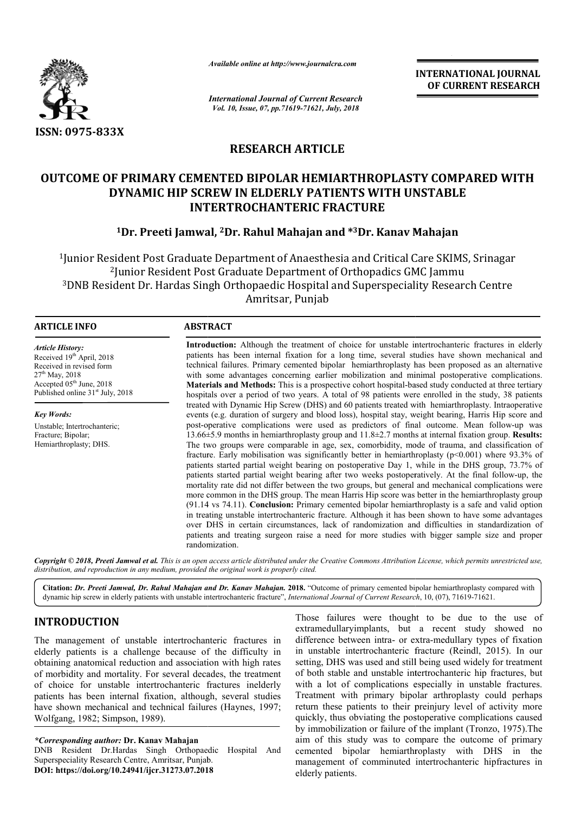

*Available online at http://www.journalcra.com*

*International Journal of Current Research Vol. 10, Issue, 07, pp.71619-71621, July, 2018*

**INTERNATIONAL JOURNAL OF CURRENT RESEARCH**

# **RESEARCH ARTICLE**

# **OUTCOME OF PRIMARY CEMENTED BIPOLAR HEMIARTHROPLASTY COMPARED WITH DYNAMIC HIP SCREW IN ELDERLY PATIENTS WITH UNSTABLE INTERTROCHANTERIC FRACTURE**

## **1Dr. Preeti Jamwal, 2Dr. Rahul Mahajan and \*3Dr. Kanav Mahajan**

<sup>1</sup>Junior Resident Post Graduate Department of Anaesthesia and Critical Care SKIMS, Srinagar<br><sup>2</sup>Junior Resident Post Graduate Department of Orthopadics GMC Jammu <sup>2</sup>Junior Resident Post Graduate Department of Orthopadics GMC Jammu 3DNB Resident Dr. Hardas Singh Orthopaedic Hospital and Superspeciality Research Centre Amritsar, Punjab

| <b>ARTICLE INFO</b>                                                                                                                                                                            | <b>ABSTRACT</b>                                                                                                                                                                                                                                                                                                                                                                                                                                                                                                                                                                                                                                                                                                                                                                                                                                                                                                                                                                                                                                                                                                                                                                                                                                                                  |
|------------------------------------------------------------------------------------------------------------------------------------------------------------------------------------------------|----------------------------------------------------------------------------------------------------------------------------------------------------------------------------------------------------------------------------------------------------------------------------------------------------------------------------------------------------------------------------------------------------------------------------------------------------------------------------------------------------------------------------------------------------------------------------------------------------------------------------------------------------------------------------------------------------------------------------------------------------------------------------------------------------------------------------------------------------------------------------------------------------------------------------------------------------------------------------------------------------------------------------------------------------------------------------------------------------------------------------------------------------------------------------------------------------------------------------------------------------------------------------------|
| <b>Article History:</b><br>Received 19 <sup>th</sup> April, 2018<br>Received in revised form<br>$27th$ May, 2018<br>Accepted $05th$ June, 2018<br>Published online 31 <sup>st</sup> July, 2018 | <b>Introduction:</b> Although the treatment of choice for unstable intertrochanteric fractures in elderly<br>patients has been internal fixation for a long time, several studies have shown mechanical and<br>technical failures. Primary cemented bipolar hemiarthroplasty has been proposed as an alternative<br>with some advantages concerning earlier mobilization and minimal postoperative complications.<br><b>Materials and Methods:</b> This is a prospective cohort hospital-based study conducted at three tertiary<br>hospitals over a period of two years. A total of 98 patients were enrolled in the study, 38 patients                                                                                                                                                                                                                                                                                                                                                                                                                                                                                                                                                                                                                                         |
| <b>Key Words:</b>                                                                                                                                                                              | treated with Dynamic Hip Screw (DHS) and 60 patients treated with hemiarthroplasty. Intraoperative<br>events (e.g. duration of surgery and blood loss), hospital stay, weight bearing, Harris Hip score and                                                                                                                                                                                                                                                                                                                                                                                                                                                                                                                                                                                                                                                                                                                                                                                                                                                                                                                                                                                                                                                                      |
| Unstable; Intertrochanteric;<br>Fracture; Bipolar;<br>Hemiarthroplasty; DHS.                                                                                                                   | post-operative complications were used as predictors of final outcome. Mean follow-up was<br>$13.66\pm5.9$ months in hemiarthroplasty group and $11.8\pm2.7$ months at internal fixation group. <b>Results:</b><br>The two groups were comparable in age, sex, comorbidity, mode of trauma, and classification of<br>fracture. Early mobilisation was significantly better in hemiarthroplasty ( $p<0.001$ ) where 93.3% of<br>patients started partial weight bearing on postoperative Day 1, while in the DHS group, 73.7% of<br>patients started partial weight bearing after two weeks postoperatively. At the final follow-up, the<br>mortality rate did not differ between the two groups, but general and mechanical complications were<br>more common in the DHS group. The mean Harris Hip score was better in the hemiarthroplasty group<br>$(91.14 \text{ vs } 74.11)$ . Conclusion: Primary cemented bipolar hemiarthroplasty is a safe and valid option<br>in treating unstable intertrochanteric fracture. Although it has been shown to have some advantages<br>over DHS in certain circumstances, lack of randomization and difficulties in standardization of<br>patients and treating surgeon raise a need for more studies with bigger sample size and proper |

Copyright © 2018, Preeti Jamwal et al. This is an open access article distributed under the Creative Commons Attribution License, which permits unrestricted use, *distribution, and reproduction in any medium, provided the original work is properly cited.*

Citation: Dr. Preeti Jamwal, Dr. Rahul Mahajan and Dr. Kanav Mahajan. 2018. "Outcome of primary cemented bipolar hemiarthroplasty compared with dynamic hip screw in elderly patients with unstable intertrochanteric fracture", *International Journal of Current Research*, 10, (07), 71619-71621.

## **INTRODUCTION**

The management of unstable intertrochanteric fractures in elderly patients is a challenge because of the difficulty in obtaining anatomical reduction and association with high rates of morbidity and mortality. For several decades, the treatment of choice for unstable intertrochanteric fractures inelderly patients has been internal fixation, although, several studies have shown mechanical and technical failures (Haynes, 1997; Wolfgang, 1982; Simpson, 1989).

randomization.

*\*Corresponding author:* **Dr. Kanav Mahajan**

DNB Resident Dr.Hardas Singh Orthopaedic Hospital And Superspeciality Research Centre, Amritsar, Punjab. **DOI: https://doi.org/10.24941/ijcr.31273.07.2018**

Those failures were thought to be due to the use of<br>extramedullary<br>implants, but a recent study showed no<br>use of the difficulty in in unstable intertrochanteric fracture (Reindl, 2015). In our<br>sociation with high rates set extramedullaryimplants, but a recent study showed no difference between intra- or extra-medullary types of fixation in unstable intertrochanteric fracture (Reindl, 2015). In our setting, DHS was used and still being used widely for treatment of both stable and unstable intertrochanteric hip fractures, but with a lot of complications especially in unstable fractures. Treatment with primary bipolar arthroplasty could perhaps return these patients to their preinjury level of activity more quickly, thus obviating the postoperative complications caused by immobilization or failure of the implant (Tronzo, 1975).The aim of this study was to compare the outcome of primary cemented bipolar hemiarthroplasty with DHS in the management of comminuted intertrochanteric hipfractures in elderly patients. ought to be due to the use of<br>but a recent study showed no<br>or extra-medullary types of fixation S was used and still being used widely for<br>ble and unstable intertrochanteric hip fraction<br>of complications especially in unstable<br>with primary bipolar arthroplasty could<br>patients to their preinjury level of actions<br>obviat aim of this study was to compare the outcome of primary<br>cemented bipolar hemiarthroplasty with DHS in the<br>management of comminuted intertrochanteric hipfractures in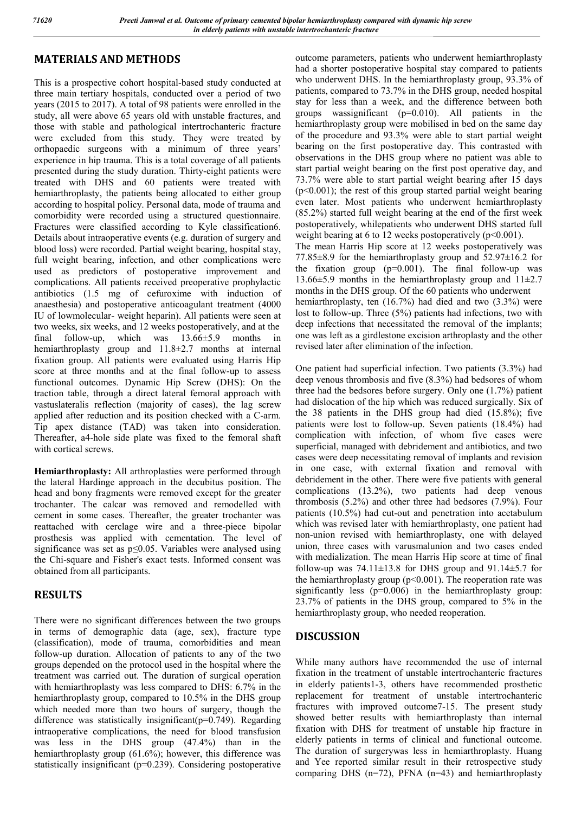## **MATERIALS AND METHODS**

This is a prospective cohort hospital-based study conducted at three main tertiary hospitals, conducted over a period of two years (2015 to 2017). A total of 98 patients were enrolled in the study, all were above 65 years old with unstable fractures, and those with stable and pathological intertrochanteric fracture were excluded from this study. They were treated by orthopaedic surgeons with a minimum of three years' experience in hip trauma. This is a total coverage of all patients presented during the study duration. Thirty-eight patients were treated with DHS and 60 patients were treated with hemiarthroplasty, the patients being allocated to either group according to hospital policy. Personal data, mode of trauma and comorbidity were recorded using a structured questionnaire. Fractures were classified according to Kyle classification6. Details about intraoperative events (e.g. duration of surgery and blood loss) were recorded. Partial weight bearing, hospital stay, full weight bearing, infection, and other complications were used as predictors of postoperative improvement and complications. All patients received preoperative prophylactic antibiotics (1.5 mg of cefuroxime with induction of anaesthesia) and postoperative anticoagulant treatment (4000 IU of lowmolecular- weight heparin). All patients were seen at two weeks, six weeks, and 12 weeks postoperatively, and at the final follow-up, which was 13.66±5.9 months in hemiarthroplasty group and 11.8±2.7 months at internal fixation group. All patients were evaluated using Harris Hip score at three months and at the final follow-up to assess functional outcomes. Dynamic Hip Screw (DHS): On the traction table, through a direct lateral femoral approach with vastuslateralis reflection (majority of cases), the lag screw applied after reduction and its position checked with a C-arm. Tip apex distance (TAD) was taken into consideration. Thereafter, a4-hole side plate was fixed to the femoral shaft with cortical screws.

**Hemiarthroplasty:** All arthroplasties were performed through the lateral Hardinge approach in the decubitus position. The head and bony fragments were removed except for the greater trochanter. The calcar was removed and remodelled with cement in some cases. Thereafter, the greater trochanter was reattached with cerclage wire and a three-piece bipolar prosthesis was applied with cementation. The level of significance was set as p≤0.05. Variables were analysed using the Chi-square and Fisher's exact tests. Informed consent was obtained from all participants.

## **RESULTS**

There were no significant differences between the two groups in terms of demographic data (age, sex), fracture type (classification), mode of trauma, comorbidities and mean follow-up duration. Allocation of patients to any of the two groups depended on the protocol used in the hospital where the treatment was carried out. The duration of surgical operation with hemiarthroplasty was less compared to DHS: 6.7% in the hemiarthroplasty group, compared to 10.5% in the DHS group which needed more than two hours of surgery, though the difference was statistically insignificant(p=0.749). Regarding intraoperative complications, the need for blood transfusion was less in the DHS group (47.4%) than in the hemiarthroplasty group (61.6%); however, this difference was statistically insignificant (p=0.239). Considering postoperative

outcome parameters, patients who underwent hemiarthroplasty had a shorter postoperative hospital stay compared to patients who underwent DHS. In the hemiarthroplasty group, 93.3% of patients, compared to 73.7% in the DHS group, needed hospital stay for less than a week, and the difference between both groups wassignificant (p=0.010). All patients in the hemiarthroplasty group were mobilised in bed on the same day of the procedure and 93.3% were able to start partial weight bearing on the first postoperative day. This contrasted with observations in the DHS group where no patient was able to start partial weight bearing on the first post operative day, and 73.7% were able to start partial weight bearing after 15 days (p<0.001); the rest of this group started partial weight bearing even later. Most patients who underwent hemiarthroplasty (85.2%) started full weight bearing at the end of the first week postoperatively, whilepatients who underwent DHS started full weight bearing at 6 to 12 weeks postoperatively  $(p<0.001)$ . The mean Harris Hip score at 12 weeks postoperatively was 77.85 $\pm$ 8.9 for the hemiarthroplasty group and 52.97 $\pm$ 16.2 for the fixation group  $(p=0.001)$ . The final follow-up was 13.66±5.9 months in the hemiarthroplasty group and 11±2.7 months in the DHS group. Of the 60 patients who underwent hemiarthroplasty, ten (16.7%) had died and two (3.3%) were

lost to follow-up. Three (5%) patients had infections, two with deep infections that necessitated the removal of the implants; one was left as a girdlestone excision arthroplasty and the other revised later after elimination of the infection.

One patient had superficial infection. Two patients (3.3%) had deep venous thrombosis and five (8.3%) had bedsores of whom three had the bedsores before surgery. Only one (1.7%) patient had dislocation of the hip which was reduced surgically. Six of the 38 patients in the DHS group had died (15.8%); five patients were lost to follow-up. Seven patients (18.4%) had complication with infection, of whom five cases were superficial, managed with debridement and antibiotics, and two cases were deep necessitating removal of implants and revision in one case, with external fixation and removal with debridement in the other. There were five patients with general complications (13.2%), two patients had deep venous thrombosis (5.2%) and other three had bedsores (7.9%). Four patients (10.5%) had cut-out and penetration into acetabulum which was revised later with hemiarthroplasty, one patient had non-union revised with hemiarthroplasty, one with delayed union, three cases with varusmalunion and two cases ended with medialization. The mean Harris Hip score at time of final follow-up was  $74.11\pm13.8$  for DHS group and  $91.14\pm5.7$  for the hemiarthroplasty group ( $p<0.001$ ). The reoperation rate was significantly less  $(p=0.006)$  in the hemiarthroplasty group: 23.7% of patients in the DHS group, compared to 5% in the hemiarthroplasty group, who needed reoperation.

### **DISCUSSION**

While many authors have recommended the use of internal fixation in the treatment of unstable intertrochanteric fractures in elderly patients1-3, others have recommended prosthetic replacement for treatment of unstable intertrochanteric fractures with improved outcome7-15. The present study showed better results with hemiarthroplasty than internal fixation with DHS for treatment of unstable hip fracture in elderly patients in terms of clinical and functional outcome. The duration of surgerywas less in hemiarthroplasty. Huang and Yee reported similar result in their retrospective study comparing DHS  $(n=72)$ , PFNA  $(n=43)$  and hemiarthroplasty